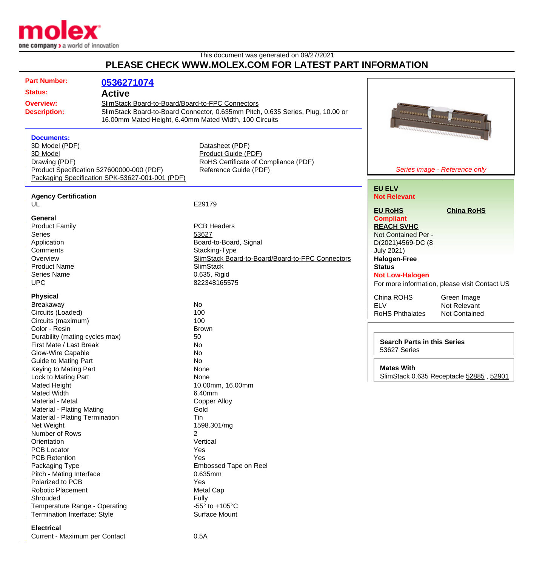

## This document was generated on 09/27/2021 **PLEASE CHECK WWW.MOLEX.COM FOR LATEST PART INFORMATION**

| <b>Part Number:</b>                                              |                                                                                              |                                                                                                                                           |                                                |
|------------------------------------------------------------------|----------------------------------------------------------------------------------------------|-------------------------------------------------------------------------------------------------------------------------------------------|------------------------------------------------|
|                                                                  | 0536271074                                                                                   |                                                                                                                                           |                                                |
| <b>Status:</b>                                                   | <b>Active</b>                                                                                |                                                                                                                                           |                                                |
| <b>Overview:</b><br><b>Description:</b>                          | SlimStack Board-to-Board/Board-to-FPC Connectors                                             | SlimStack Board-to-Board Connector, 0.635mm Pitch, 0.635 Series, Plug, 10.00 or<br>16.00mm Mated Height, 6.40mm Mated Width, 100 Circuits | <b>Burning Rome</b><br><b>Automotive</b>       |
| <b>Documents:</b><br>3D Model (PDF)<br>3D Model<br>Drawing (PDF) | Product Specification 527600000-000 (PDF)<br>Packaging Specification SPK-53627-001-001 (PDF) | Datasheet (PDF)<br>Product Guide (PDF)<br>RoHS Certificate of Compliance (PDF)<br>Reference Guide (PDF)                                   | Series image - Reference only                  |
| <b>Agency Certification</b><br>UL                                |                                                                                              | E29179                                                                                                                                    | <b>EU ELV</b><br><b>Not Relevant</b>           |
|                                                                  |                                                                                              |                                                                                                                                           | <b>EU RoHS</b><br><b>China RoHS</b>            |
| General                                                          |                                                                                              |                                                                                                                                           | <b>Compliant</b>                               |
| <b>Product Family</b>                                            |                                                                                              | <b>PCB Headers</b>                                                                                                                        | <b>REACH SVHC</b>                              |
| <b>Series</b>                                                    |                                                                                              | 53627                                                                                                                                     | Not Contained Per -                            |
| Application                                                      |                                                                                              | Board-to-Board, Signal                                                                                                                    | D(2021)4569-DC (8                              |
| Comments                                                         |                                                                                              | Stacking-Type                                                                                                                             | <b>July 2021)</b>                              |
| Overview                                                         |                                                                                              | SlimStack Board-to-Board/Board-to-FPC Connectors                                                                                          | <b>Halogen-Free</b>                            |
| <b>Product Name</b>                                              |                                                                                              | <b>SlimStack</b>                                                                                                                          | <b>Status</b>                                  |
| <b>Series Name</b>                                               |                                                                                              | 0.635, Rigid                                                                                                                              | <b>Not Low-Halogen</b>                         |
| <b>UPC</b>                                                       |                                                                                              | 822348165575                                                                                                                              | For more information, please visit Contact US  |
| <b>Physical</b><br><b>Breakaway</b>                              |                                                                                              | <b>No</b>                                                                                                                                 | China ROHS<br>Green Image                      |
| Circuits (Loaded)                                                |                                                                                              | 100                                                                                                                                       | <b>ELV</b><br>Not Relevant                     |
| Circuits (maximum)                                               |                                                                                              | 100                                                                                                                                       | <b>RoHS Phthalates</b><br><b>Not Contained</b> |
| Color - Resin                                                    |                                                                                              | <b>Brown</b>                                                                                                                              |                                                |
| Durability (mating cycles max)                                   |                                                                                              | 50                                                                                                                                        |                                                |
| First Mate / Last Break                                          |                                                                                              | No                                                                                                                                        | <b>Search Parts in this Series</b>             |
| Glow-Wire Capable                                                |                                                                                              | No                                                                                                                                        | 53627 Series                                   |
| <b>Guide to Mating Part</b>                                      |                                                                                              | No                                                                                                                                        |                                                |
| Keying to Mating Part                                            |                                                                                              | None                                                                                                                                      | <b>Mates With</b>                              |
| Lock to Mating Part                                              |                                                                                              | None                                                                                                                                      | SlimStack 0.635 Receptacle 52885, 52901        |
| <b>Mated Height</b>                                              |                                                                                              | 10.00mm, 16.00mm                                                                                                                          |                                                |
| <b>Mated Width</b>                                               |                                                                                              | 6.40mm                                                                                                                                    |                                                |
| Material - Metal                                                 |                                                                                              | <b>Copper Alloy</b>                                                                                                                       |                                                |
| <b>Material - Plating Mating</b>                                 |                                                                                              | Gold                                                                                                                                      |                                                |
| Material - Plating Termination                                   |                                                                                              | Tin                                                                                                                                       |                                                |
| Net Weight                                                       |                                                                                              | 1598.301/mg                                                                                                                               |                                                |
| Number of Rows                                                   |                                                                                              | 2                                                                                                                                         |                                                |
| Orientation                                                      |                                                                                              | Vertical                                                                                                                                  |                                                |
| <b>PCB Locator</b><br><b>PCB Retention</b>                       |                                                                                              | Yes<br>Yes                                                                                                                                |                                                |
| Packaging Type                                                   |                                                                                              | Embossed Tape on Reel                                                                                                                     |                                                |
| Pitch - Mating Interface                                         |                                                                                              | 0.635mm                                                                                                                                   |                                                |
| Polarized to PCB                                                 |                                                                                              | Yes                                                                                                                                       |                                                |
| Robotic Placement                                                |                                                                                              | Metal Cap                                                                                                                                 |                                                |
| Shrouded                                                         |                                                                                              | Fully                                                                                                                                     |                                                |
| Temperature Range - Operating                                    |                                                                                              | -55 $\degree$ to +105 $\degree$ C                                                                                                         |                                                |
| Termination Interface: Style                                     |                                                                                              | Surface Mount                                                                                                                             |                                                |
|                                                                  |                                                                                              |                                                                                                                                           |                                                |

## **Electrical**

Current - Maximum per Contact 0.5A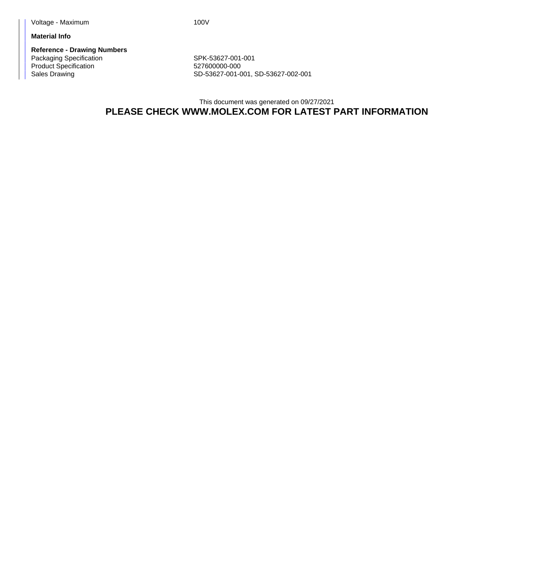**Material Info**

**Reference - Drawing Numbers** Packaging Specification Network SPK-53627-001-001 Product Specification 627600000-000

Sales Drawing Sales Drawing SD-53627-001-001, SD-53627-002-001

This document was generated on 09/27/2021 **PLEASE CHECK WWW.MOLEX.COM FOR LATEST PART INFORMATION**